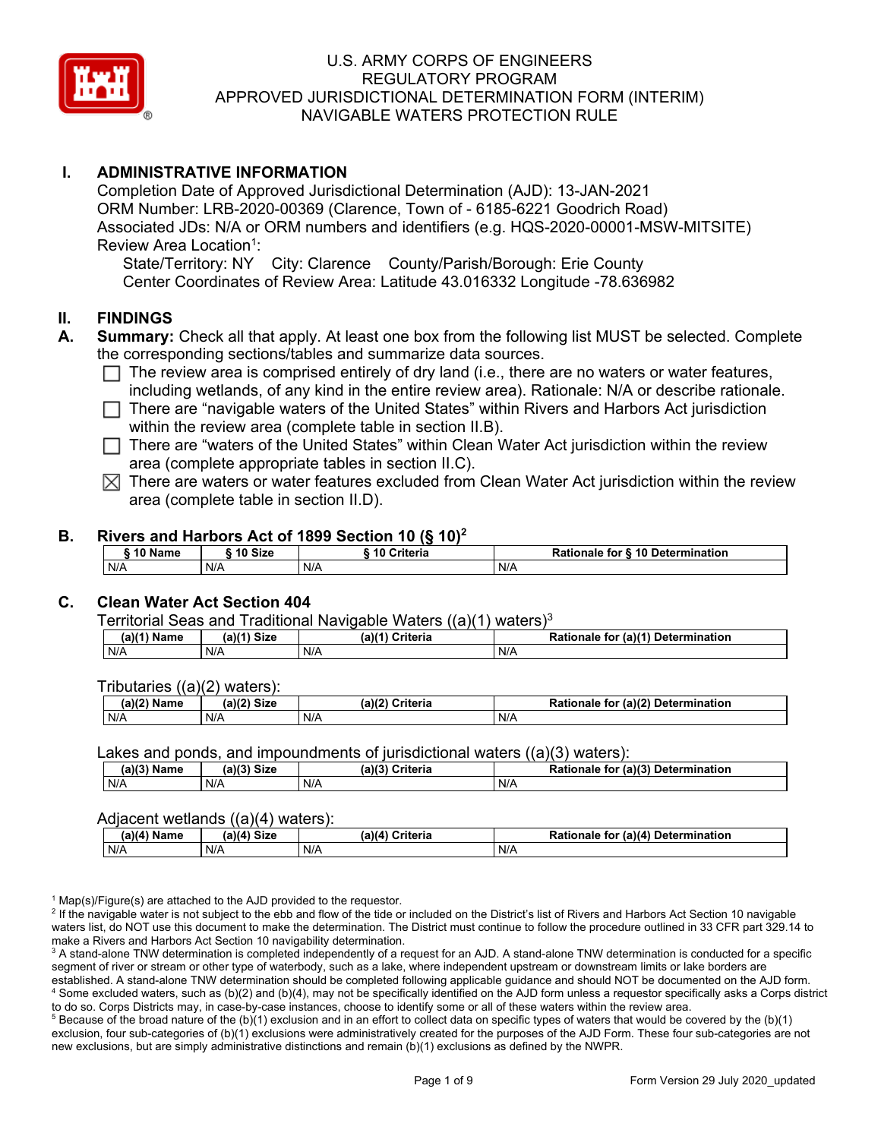

# **I. ADMINISTRATIVE INFORMATION**

Completion Date of Approved Jurisdictional Determination (AJD): 13-JAN-2021 ORM Number: LRB-2020-00369 (Clarence, Town of - 6185-6221 Goodrich Road) Associated JDs: N/A or ORM numbers and identifiers (e.g. HQS-2020-00001-MSW-MITSITE) Review Area Location<sup>1</sup>:

State/Territory: NY City: Clarence County/Parish/Borough: Erie County Center Coordinates of Review Area: Latitude 43.016332 Longitude -78.636982

#### **II. FINDINGS**

- **A. Summary:** Check all that apply. At least one box from the following list MUST be selected. Complete the corresponding sections/tables and summarize data sources.
	- $\Box$  The review area is comprised entirely of dry land (i.e., there are no waters or water features, including wetlands, of any kind in the entire review area). Rationale: N/A or describe rationale.
	- $\Box$  There are "navigable waters of the United States" within Rivers and Harbors Act jurisdiction within the review area (complete table in section II.B).
	- $\Box$  There are "waters of the United States" within Clean Water Act jurisdiction within the review area (complete appropriate tables in section II.C).
	- $\boxtimes$  There are waters or water features excluded from Clean Water Act jurisdiction within the review area (complete table in section II.D).

#### **B. Rivers and Harbors Act of 1899 Section 10 (§ 10)<sup>2</sup>**

| 10 Name | 10 Size | ----<br>Criteria<br>. 10 | Rationale for § 10 Determination |
|---------|---------|--------------------------|----------------------------------|
| N/A     | N/A     | N/A                      | N/A                              |

### **C. Clean Water Act Section 404**

#### Territorial Seas and Traditional Navigable Waters ((a)(1) waters)3

| (a)(1) Name | $^{\prime\prime\prime\prime}$ $^{\prime\prime}$ $^{\prime\prime}$ $^{\prime\prime}$ $^{\prime\prime}$ $^{\prime\prime}$ $^{\prime\prime}$ $^{\prime\prime}$ | $(a)$ $(4)$<br>Criteria | (a)(1) Determination<br>Rationale<br>tor |
|-------------|-------------------------------------------------------------------------------------------------------------------------------------------------------------|-------------------------|------------------------------------------|
| N/A         | N/A                                                                                                                                                         | N/A                     | N/f                                      |

Tributaries ((a)(2) waters):

| . .<br>'' | (2.10)<br>$\sim$ 01- $\sim$<br>31Z C | $\mathbf{a}$<br>ملعمانيذ<br>116<br>Гiё | $\ldots$ (a) <sup><math>\prime</math></sup><br><b>Determination</b><br>īΟ<br>naie<br>паног |
|-----------|--------------------------------------|----------------------------------------|--------------------------------------------------------------------------------------------|
| N/A       | N/A                                  | N/A                                    | N/A                                                                                        |

Lakes and ponds, and impoundments of jurisdictional waters ((a)(3) waters):

| (a)(3) Name | $(a)(3)$ Size | (a)/2<br>Criteria | . (a) $(3)$<br>Determination<br>Rationale<br>tor |
|-------------|---------------|-------------------|--------------------------------------------------|
| N/A         | N/A           | N/f               | N/A                                              |

#### Adjacent wetlands ((a)(4) waters):

|               | .<br>.      |                 |                                                          |  |
|---------------|-------------|-----------------|----------------------------------------------------------|--|
| $(a)(4)$ Name | (a)(4) Size | (a)(4) Criteria | . for (a)(4)<br><b>Determination</b><br><b>Rationale</b> |  |
| N/A           | N/A         | N/A             | N/A                                                      |  |

 $1$  Map(s)/Figure(s) are attached to the AJD provided to the requestor.

<sup>2</sup> If the navigable water is not subject to the ebb and flow of the tide or included on the District's list of Rivers and Harbors Act Section 10 navigable waters list, do NOT use this document to make the determination. The District must continue to follow the procedure outlined in 33 CFR part 329.14 to make a Rivers and Harbors Act Section 10 navigability determination.

<sup>3</sup> A stand-alone TNW determination is completed independently of a request for an AJD. A stand-alone TNW determination is conducted for a specific segment of river or stream or other type of waterbody, such as a lake, where independent upstream or downstream limits or lake borders are established. A stand-alone TNW determination should be completed following applicable guidance and should NOT be documented on the AJD form. <sup>4</sup> Some excluded waters, such as (b)(2) and (b)(4), may not be specifically identified on the AJD form unless a requestor specifically asks a Corps district to do so. Corps Districts may, in case-by-case instances, choose to identify some or all of these waters within the review area.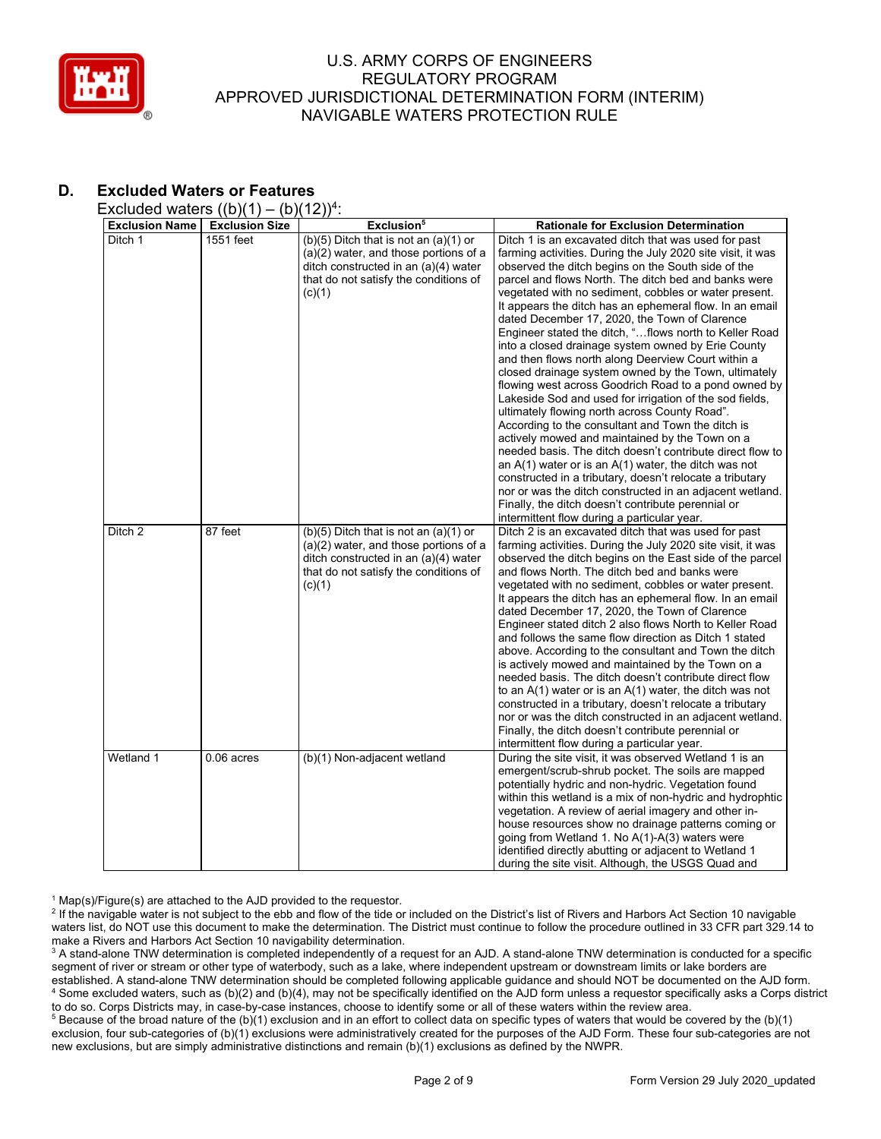

# **D. Excluded Waters or Features**

Excluded waters  $((b)(1) - (b)(12))^4$ :

| <b>Exclusion Name</b><br>Exclusion <sup>5</sup><br><b>Exclusion Size</b><br><b>Rationale for Exclusion Determination</b>  |  |
|---------------------------------------------------------------------------------------------------------------------------|--|
| 1551 feet<br>$(b)(5)$ Ditch that is not an $(a)(1)$ or<br>Ditch 1<br>Ditch 1 is an excavated ditch that was used for past |  |
| (a)(2) water, and those portions of a<br>farming activities. During the July 2020 site visit, it was                      |  |
| ditch constructed in an (a)(4) water<br>observed the ditch begins on the South side of the                                |  |
| parcel and flows North. The ditch bed and banks were<br>that do not satisfy the conditions of                             |  |
| vegetated with no sediment, cobbles or water present.<br>(c)(1)                                                           |  |
| It appears the ditch has an ephemeral flow. In an email                                                                   |  |
| dated December 17, 2020, the Town of Clarence                                                                             |  |
| Engineer stated the ditch, "flows north to Keller Road                                                                    |  |
| into a closed drainage system owned by Erie County                                                                        |  |
| and then flows north along Deerview Court within a                                                                        |  |
| closed drainage system owned by the Town, ultimately                                                                      |  |
| flowing west across Goodrich Road to a pond owned by                                                                      |  |
| Lakeside Sod and used for irrigation of the sod fields,                                                                   |  |
| ultimately flowing north across County Road".                                                                             |  |
| According to the consultant and Town the ditch is                                                                         |  |
| actively mowed and maintained by the Town on a                                                                            |  |
| needed basis. The ditch doesn't contribute direct flow to                                                                 |  |
| an $A(1)$ water or is an $A(1)$ water, the ditch was not                                                                  |  |
| constructed in a tributary, doesn't relocate a tributary<br>nor or was the ditch constructed in an adjacent wetland.      |  |
| Finally, the ditch doesn't contribute perennial or                                                                        |  |
| intermittent flow during a particular year.                                                                               |  |
| 87 feet<br>Ditch 2<br>$(b)(5)$ Ditch that is not an $(a)(1)$ or<br>Ditch 2 is an excavated ditch that was used for past   |  |
| (a)(2) water, and those portions of a<br>farming activities. During the July 2020 site visit, it was                      |  |
| ditch constructed in an (a)(4) water<br>observed the ditch begins on the East side of the parcel                          |  |
| that do not satisfy the conditions of<br>and flows North. The ditch bed and banks were                                    |  |
| (c)(1)<br>vegetated with no sediment, cobbles or water present.                                                           |  |
| It appears the ditch has an ephemeral flow. In an email                                                                   |  |
| dated December 17, 2020, the Town of Clarence                                                                             |  |
| Engineer stated ditch 2 also flows North to Keller Road                                                                   |  |
| and follows the same flow direction as Ditch 1 stated                                                                     |  |
| above. According to the consultant and Town the ditch                                                                     |  |
| is actively mowed and maintained by the Town on a                                                                         |  |
| needed basis. The ditch doesn't contribute direct flow                                                                    |  |
| to an $A(1)$ water or is an $A(1)$ water, the ditch was not                                                               |  |
| constructed in a tributary, doesn't relocate a tributary                                                                  |  |
| nor or was the ditch constructed in an adjacent wetland.                                                                  |  |
| Finally, the ditch doesn't contribute perennial or                                                                        |  |
| intermittent flow during a particular year.                                                                               |  |
| Wetland 1<br>(b)(1) Non-adjacent wetland<br>$0.06$ acres<br>During the site visit, it was observed Wetland 1 is an        |  |
| emergent/scrub-shrub pocket. The soils are mapped                                                                         |  |
| potentially hydric and non-hydric. Vegetation found                                                                       |  |
| within this wetland is a mix of non-hydric and hydrophtic                                                                 |  |
| vegetation. A review of aerial imagery and other in-<br>house resources show no drainage patterns coming or               |  |
| going from Wetland 1. No A(1)-A(3) waters were                                                                            |  |
| identified directly abutting or adjacent to Wetland 1                                                                     |  |
| during the site visit. Although, the USGS Quad and                                                                        |  |

 $1$  Map(s)/Figure(s) are attached to the AJD provided to the requestor.

<sup>2</sup> If the navigable water is not subject to the ebb and flow of the tide or included on the District's list of Rivers and Harbors Act Section 10 navigable waters list, do NOT use this document to make the determination. The District must continue to follow the procedure outlined in 33 CFR part 329.14 to make a Rivers and Harbors Act Section 10 navigability determination.

<sup>3</sup> A stand-alone TNW determination is completed independently of a request for an AJD. A stand-alone TNW determination is conducted for a specific segment of river or stream or other type of waterbody, such as a lake, where independent upstream or downstream limits or lake borders are established. A stand-alone TNW determination should be completed following applicable guidance and should NOT be documented on the AJD form. <sup>4</sup> Some excluded waters, such as (b)(2) and (b)(4), may not be specifically identified on the AJD form unless a requestor specifically asks a Corps district to do so. Corps Districts may, in case-by-case instances, choose to identify some or all of these waters within the review area.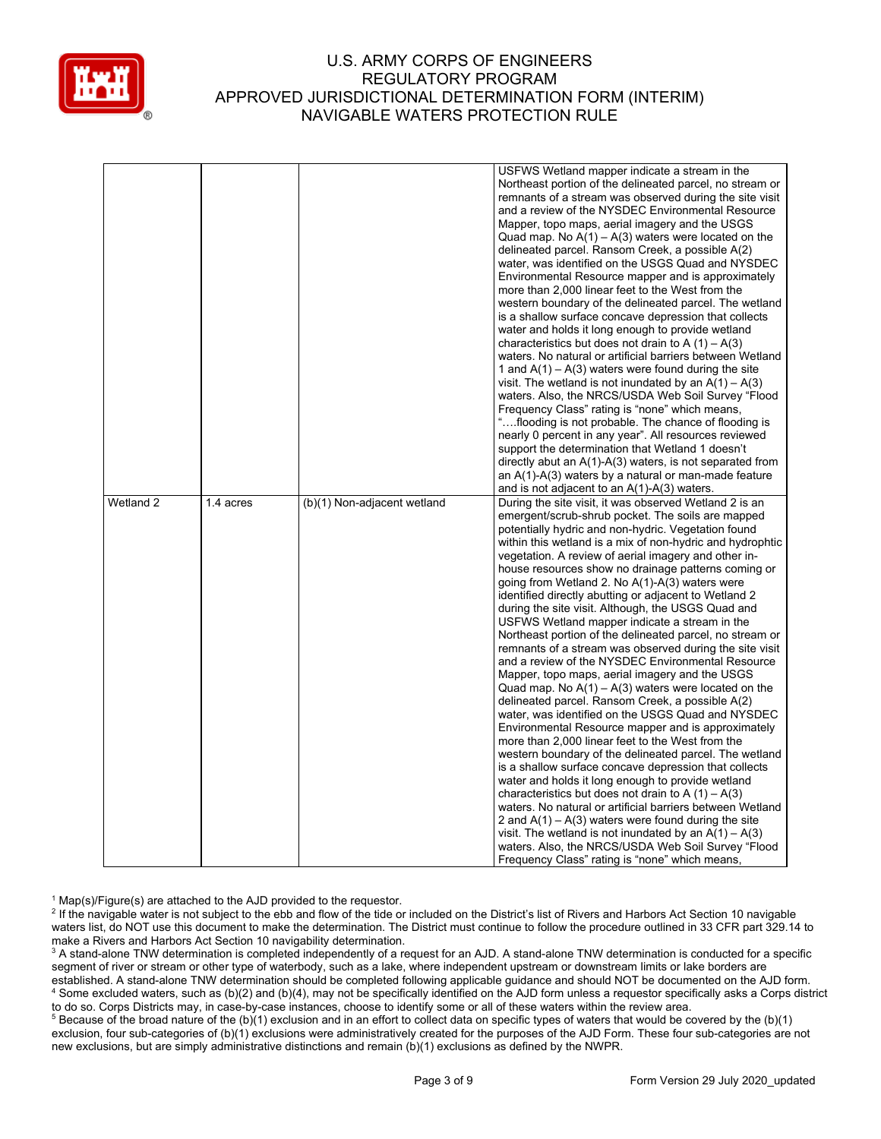

|           |           |                             | USFWS Wetland mapper indicate a stream in the              |
|-----------|-----------|-----------------------------|------------------------------------------------------------|
|           |           |                             | Northeast portion of the delineated parcel, no stream or   |
|           |           |                             | remnants of a stream was observed during the site visit    |
|           |           |                             | and a review of the NYSDEC Environmental Resource          |
|           |           |                             | Mapper, topo maps, aerial imagery and the USGS             |
|           |           |                             | Quad map. No $A(1) - A(3)$ waters were located on the      |
|           |           |                             |                                                            |
|           |           |                             | delineated parcel. Ransom Creek, a possible A(2)           |
|           |           |                             | water, was identified on the USGS Quad and NYSDEC          |
|           |           |                             | Environmental Resource mapper and is approximately         |
|           |           |                             | more than 2,000 linear feet to the West from the           |
|           |           |                             | western boundary of the delineated parcel. The wetland     |
|           |           |                             | is a shallow surface concave depression that collects      |
|           |           |                             | water and holds it long enough to provide wetland          |
|           |           |                             | characteristics but does not drain to A $(1) - A(3)$       |
|           |           |                             | waters. No natural or artificial barriers between Wetland  |
|           |           |                             | 1 and $A(1) - A(3)$ waters were found during the site      |
|           |           |                             | visit. The wetland is not inundated by an $A(1) - A(3)$    |
|           |           |                             | waters. Also, the NRCS/USDA Web Soil Survey "Flood         |
|           |           |                             | Frequency Class" rating is "none" which means,             |
|           |           |                             | "flooding is not probable. The chance of flooding is       |
|           |           |                             | nearly 0 percent in any year". All resources reviewed      |
|           |           |                             | support the determination that Wetland 1 doesn't           |
|           |           |                             | directly abut an $A(1)-A(3)$ waters, is not separated from |
|           |           |                             | an $A(1)$ - $A(3)$ waters by a natural or man-made feature |
|           |           |                             |                                                            |
|           |           |                             | and is not adjacent to an $A(1)-A(3)$ waters.              |
| Wetland 2 | 1.4 acres | (b)(1) Non-adjacent wetland | During the site visit, it was observed Wetland 2 is an     |
|           |           |                             | emergent/scrub-shrub pocket. The soils are mapped          |
|           |           |                             | potentially hydric and non-hydric. Vegetation found        |
|           |           |                             | within this wetland is a mix of non-hydric and hydrophtic  |
|           |           |                             | vegetation. A review of aerial imagery and other in-       |
|           |           |                             | house resources show no drainage patterns coming or        |
|           |           |                             | going from Wetland 2. No A(1)-A(3) waters were             |
|           |           |                             | identified directly abutting or adjacent to Wetland 2      |
|           |           |                             | during the site visit. Although, the USGS Quad and         |
|           |           |                             | USFWS Wetland mapper indicate a stream in the              |
|           |           |                             | Northeast portion of the delineated parcel, no stream or   |
|           |           |                             | remnants of a stream was observed during the site visit    |
|           |           |                             | and a review of the NYSDEC Environmental Resource          |
|           |           |                             | Mapper, topo maps, aerial imagery and the USGS             |
|           |           |                             | Quad map. No $A(1) - A(3)$ waters were located on the      |
|           |           |                             | delineated parcel. Ransom Creek, a possible A(2)           |
|           |           |                             | water, was identified on the USGS Quad and NYSDEC          |
|           |           |                             | Environmental Resource mapper and is approximately         |
|           |           |                             | more than 2,000 linear feet to the West from the           |
|           |           |                             | western boundary of the delineated parcel. The wetland     |
|           |           |                             |                                                            |
|           |           |                             | is a shallow surface concave depression that collects      |
|           |           |                             | water and holds it long enough to provide wetland          |
|           |           |                             | characteristics but does not drain to A $(1) - A(3)$       |
|           |           |                             | waters. No natural or artificial barriers between Wetland  |
|           |           |                             | 2 and $A(1) - A(3)$ waters were found during the site      |
|           |           |                             | visit. The wetland is not inundated by an $A(1) - A(3)$    |
|           |           |                             | waters. Also, the NRCS/USDA Web Soil Survey "Flood         |
|           |           |                             | Frequency Class" rating is "none" which means,             |

 $1$  Map(s)/Figure(s) are attached to the AJD provided to the requestor.

<sup>2</sup> If the navigable water is not subject to the ebb and flow of the tide or included on the District's list of Rivers and Harbors Act Section 10 navigable waters list, do NOT use this document to make the determination. The District must continue to follow the procedure outlined in 33 CFR part 329.14 to make a Rivers and Harbors Act Section 10 navigability determination.

<sup>3</sup> A stand-alone TNW determination is completed independently of a request for an AJD. A stand-alone TNW determination is conducted for a specific segment of river or stream or other type of waterbody, such as a lake, where independent upstream or downstream limits or lake borders are established. A stand-alone TNW determination should be completed following applicable guidance and should NOT be documented on the AJD form. <sup>4</sup> Some excluded waters, such as (b)(2) and (b)(4), may not be specifically identified on the AJD form unless a requestor specifically asks a Corps district to do so. Corps Districts may, in case-by-case instances, choose to identify some or all of these waters within the review area.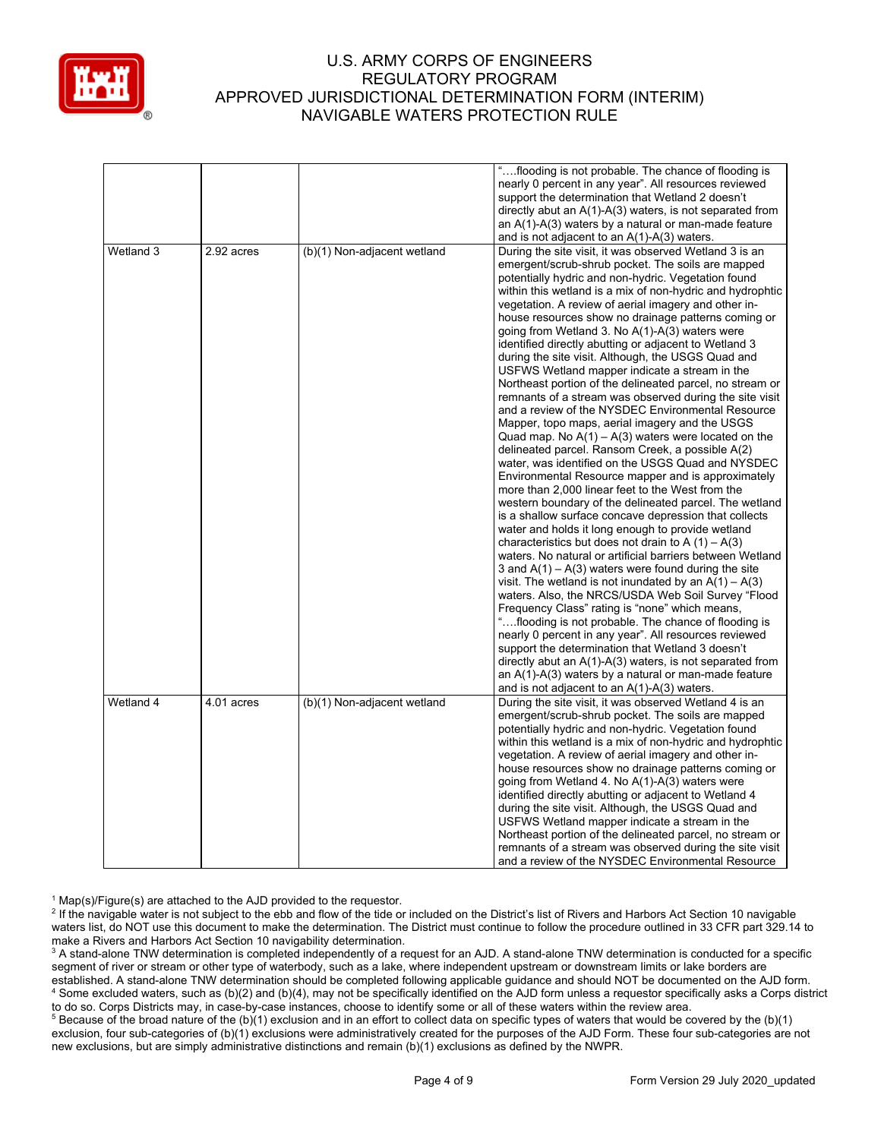

|           |            |                             | "flooding is not probable. The chance of flooding is       |
|-----------|------------|-----------------------------|------------------------------------------------------------|
|           |            |                             | nearly 0 percent in any year". All resources reviewed      |
|           |            |                             | support the determination that Wetland 2 doesn't           |
|           |            |                             | directly abut an $A(1)-A(3)$ waters, is not separated from |
|           |            |                             | an $A(1)$ - $A(3)$ waters by a natural or man-made feature |
|           |            |                             | and is not adjacent to an $A(1)-A(3)$ waters.              |
| Wetland 3 | 2.92 acres | (b)(1) Non-adjacent wetland | During the site visit, it was observed Wetland 3 is an     |
|           |            |                             | emergent/scrub-shrub pocket. The soils are mapped          |
|           |            |                             | potentially hydric and non-hydric. Vegetation found        |
|           |            |                             | within this wetland is a mix of non-hydric and hydrophtic  |
|           |            |                             | vegetation. A review of aerial imagery and other in-       |
|           |            |                             | house resources show no drainage patterns coming or        |
|           |            |                             | going from Wetland 3. No A(1)-A(3) waters were             |
|           |            |                             | identified directly abutting or adjacent to Wetland 3      |
|           |            |                             | during the site visit. Although, the USGS Quad and         |
|           |            |                             | USFWS Wetland mapper indicate a stream in the              |
|           |            |                             | Northeast portion of the delineated parcel, no stream or   |
|           |            |                             | remnants of a stream was observed during the site visit    |
|           |            |                             | and a review of the NYSDEC Environmental Resource          |
|           |            |                             | Mapper, topo maps, aerial imagery and the USGS             |
|           |            |                             | Quad map. No $A(1) - A(3)$ waters were located on the      |
|           |            |                             | delineated parcel. Ransom Creek, a possible A(2)           |
|           |            |                             | water, was identified on the USGS Quad and NYSDEC          |
|           |            |                             | Environmental Resource mapper and is approximately         |
|           |            |                             | more than 2,000 linear feet to the West from the           |
|           |            |                             | western boundary of the delineated parcel. The wetland     |
|           |            |                             | is a shallow surface concave depression that collects      |
|           |            |                             | water and holds it long enough to provide wetland          |
|           |            |                             | characteristics but does not drain to A $(1) - A(3)$       |
|           |            |                             | waters. No natural or artificial barriers between Wetland  |
|           |            |                             | 3 and $A(1) - A(3)$ waters were found during the site      |
|           |            |                             | visit. The wetland is not inundated by an $A(1) - A(3)$    |
|           |            |                             | waters. Also, the NRCS/USDA Web Soil Survey "Flood         |
|           |            |                             | Frequency Class" rating is "none" which means,             |
|           |            |                             | "flooding is not probable. The chance of flooding is       |
|           |            |                             | nearly 0 percent in any year". All resources reviewed      |
|           |            |                             | support the determination that Wetland 3 doesn't           |
|           |            |                             | directly abut an $A(1)-A(3)$ waters, is not separated from |
|           |            |                             | an $A(1)-A(3)$ waters by a natural or man-made feature     |
|           |            |                             | and is not adjacent to an A(1)-A(3) waters.                |
| Wetland 4 | 4.01 acres | (b)(1) Non-adjacent wetland | During the site visit, it was observed Wetland 4 is an     |
|           |            |                             | emergent/scrub-shrub pocket. The soils are mapped          |
|           |            |                             | potentially hydric and non-hydric. Vegetation found        |
|           |            |                             | within this wetland is a mix of non-hydric and hydrophtic  |
|           |            |                             | vegetation. A review of aerial imagery and other in-       |
|           |            |                             | house resources show no drainage patterns coming or        |
|           |            |                             | going from Wetland 4. No A(1)-A(3) waters were             |
|           |            |                             | identified directly abutting or adjacent to Wetland 4      |
|           |            |                             | during the site visit. Although, the USGS Quad and         |
|           |            |                             | USFWS Wetland mapper indicate a stream in the              |
|           |            |                             | Northeast portion of the delineated parcel, no stream or   |
|           |            |                             | remnants of a stream was observed during the site visit    |
|           |            |                             | and a review of the NYSDEC Environmental Resource          |

 $1$  Map(s)/Figure(s) are attached to the AJD provided to the requestor.

<sup>2</sup> If the navigable water is not subject to the ebb and flow of the tide or included on the District's list of Rivers and Harbors Act Section 10 navigable waters list, do NOT use this document to make the determination. The District must continue to follow the procedure outlined in 33 CFR part 329.14 to make a Rivers and Harbors Act Section 10 navigability determination.

<sup>3</sup> A stand-alone TNW determination is completed independently of a request for an AJD. A stand-alone TNW determination is conducted for a specific segment of river or stream or other type of waterbody, such as a lake, where independent upstream or downstream limits or lake borders are established. A stand-alone TNW determination should be completed following applicable guidance and should NOT be documented on the AJD form. <sup>4</sup> Some excluded waters, such as (b)(2) and (b)(4), may not be specifically identified on the AJD form unless a requestor specifically asks a Corps district to do so. Corps Districts may, in case-by-case instances, choose to identify some or all of these waters within the review area.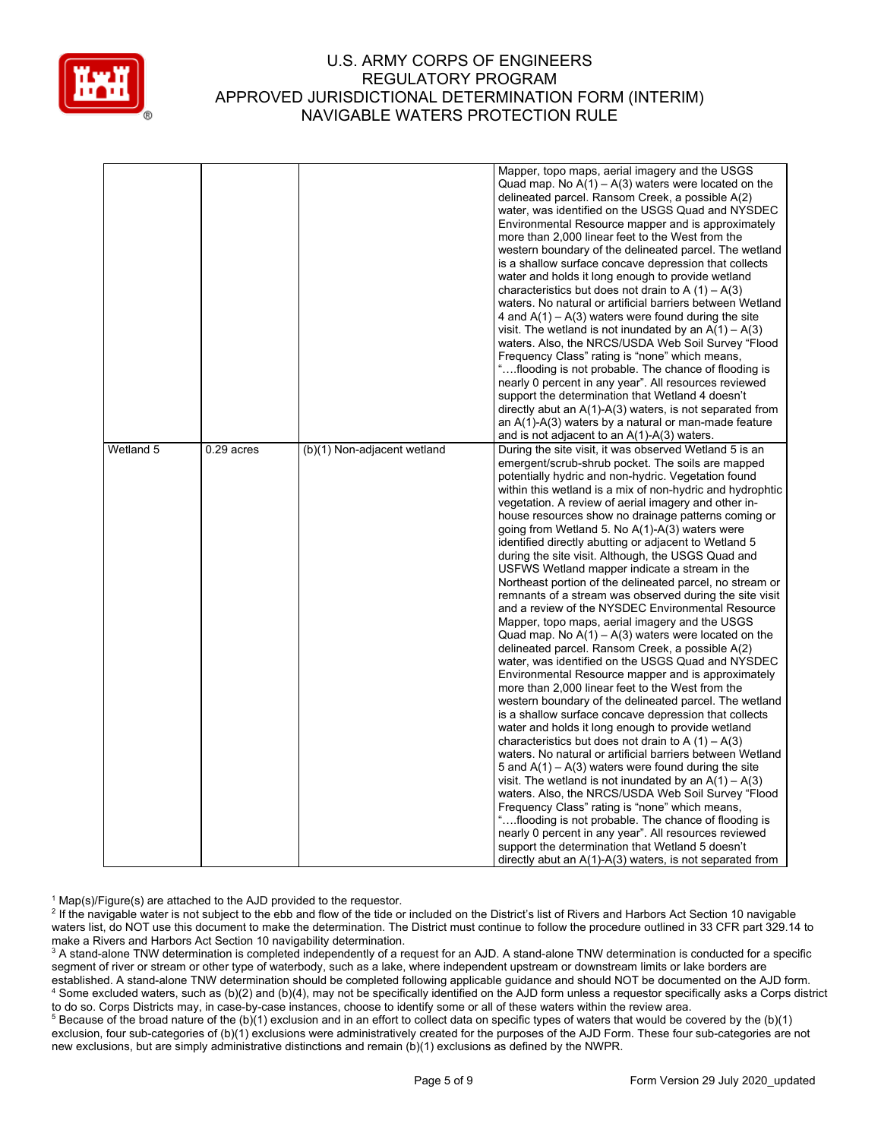

|           |              |                             | Mapper, topo maps, aerial imagery and the USGS<br>Quad map. No $A(1) - A(3)$ waters were located on the<br>delineated parcel. Ransom Creek, a possible A(2)<br>water, was identified on the USGS Quad and NYSDEC<br>Environmental Resource mapper and is approximately<br>more than 2,000 linear feet to the West from the<br>western boundary of the delineated parcel. The wetland<br>is a shallow surface concave depression that collects<br>water and holds it long enough to provide wetland<br>characteristics but does not drain to A $(1) - A(3)$<br>waters. No natural or artificial barriers between Wetland<br>4 and $A(1) - A(3)$ waters were found during the site<br>visit. The wetland is not inundated by an $A(1) - A(3)$<br>waters. Also, the NRCS/USDA Web Soil Survey "Flood<br>Frequency Class" rating is "none" which means,<br>"flooding is not probable. The chance of flooding is<br>nearly 0 percent in any year". All resources reviewed<br>support the determination that Wetland 4 doesn't<br>directly abut an A(1)-A(3) waters, is not separated from<br>an $A(1)$ -A(3) waters by a natural or man-made feature<br>and is not adjacent to an $A(1)-A(3)$ waters.                                                                                                                                                                                                                                                                                                                                                                                                                                                                                                                                                                                                                                     |
|-----------|--------------|-----------------------------|--------------------------------------------------------------------------------------------------------------------------------------------------------------------------------------------------------------------------------------------------------------------------------------------------------------------------------------------------------------------------------------------------------------------------------------------------------------------------------------------------------------------------------------------------------------------------------------------------------------------------------------------------------------------------------------------------------------------------------------------------------------------------------------------------------------------------------------------------------------------------------------------------------------------------------------------------------------------------------------------------------------------------------------------------------------------------------------------------------------------------------------------------------------------------------------------------------------------------------------------------------------------------------------------------------------------------------------------------------------------------------------------------------------------------------------------------------------------------------------------------------------------------------------------------------------------------------------------------------------------------------------------------------------------------------------------------------------------------------------------------------------------------------------------------------------------------------------|
| Wetland 5 | $0.29$ acres | (b)(1) Non-adjacent wetland | During the site visit, it was observed Wetland 5 is an<br>emergent/scrub-shrub pocket. The soils are mapped<br>potentially hydric and non-hydric. Vegetation found<br>within this wetland is a mix of non-hydric and hydrophtic<br>vegetation. A review of aerial imagery and other in-<br>house resources show no drainage patterns coming or<br>going from Wetland 5. No A(1)-A(3) waters were<br>identified directly abutting or adjacent to Wetland 5<br>during the site visit. Although, the USGS Quad and<br>USFWS Wetland mapper indicate a stream in the<br>Northeast portion of the delineated parcel, no stream or<br>remnants of a stream was observed during the site visit<br>and a review of the NYSDEC Environmental Resource<br>Mapper, topo maps, aerial imagery and the USGS<br>Quad map. No $A(1) - A(3)$ waters were located on the<br>delineated parcel. Ransom Creek, a possible A(2)<br>water, was identified on the USGS Quad and NYSDEC<br>Environmental Resource mapper and is approximately<br>more than 2,000 linear feet to the West from the<br>western boundary of the delineated parcel. The wetland<br>is a shallow surface concave depression that collects<br>water and holds it long enough to provide wetland<br>characteristics but does not drain to A $(1) - A(3)$<br>waters. No natural or artificial barriers between Wetland<br>5 and $A(1) - A(3)$ waters were found during the site<br>visit. The wetland is not inundated by an $A(1) - A(3)$<br>waters. Also, the NRCS/USDA Web Soil Survey "Flood<br>Frequency Class" rating is "none" which means,<br>"flooding is not probable. The chance of flooding is<br>nearly 0 percent in any year". All resources reviewed<br>support the determination that Wetland 5 doesn't<br>directly abut an A(1)-A(3) waters, is not separated from |

 $1$  Map(s)/Figure(s) are attached to the AJD provided to the requestor.

<sup>2</sup> If the navigable water is not subject to the ebb and flow of the tide or included on the District's list of Rivers and Harbors Act Section 10 navigable waters list, do NOT use this document to make the determination. The District must continue to follow the procedure outlined in 33 CFR part 329.14 to make a Rivers and Harbors Act Section 10 navigability determination.

<sup>3</sup> A stand-alone TNW determination is completed independently of a request for an AJD. A stand-alone TNW determination is conducted for a specific segment of river or stream or other type of waterbody, such as a lake, where independent upstream or downstream limits or lake borders are established. A stand-alone TNW determination should be completed following applicable guidance and should NOT be documented on the AJD form. <sup>4</sup> Some excluded waters, such as (b)(2) and (b)(4), may not be specifically identified on the AJD form unless a requestor specifically asks a Corps district to do so. Corps Districts may, in case-by-case instances, choose to identify some or all of these waters within the review area.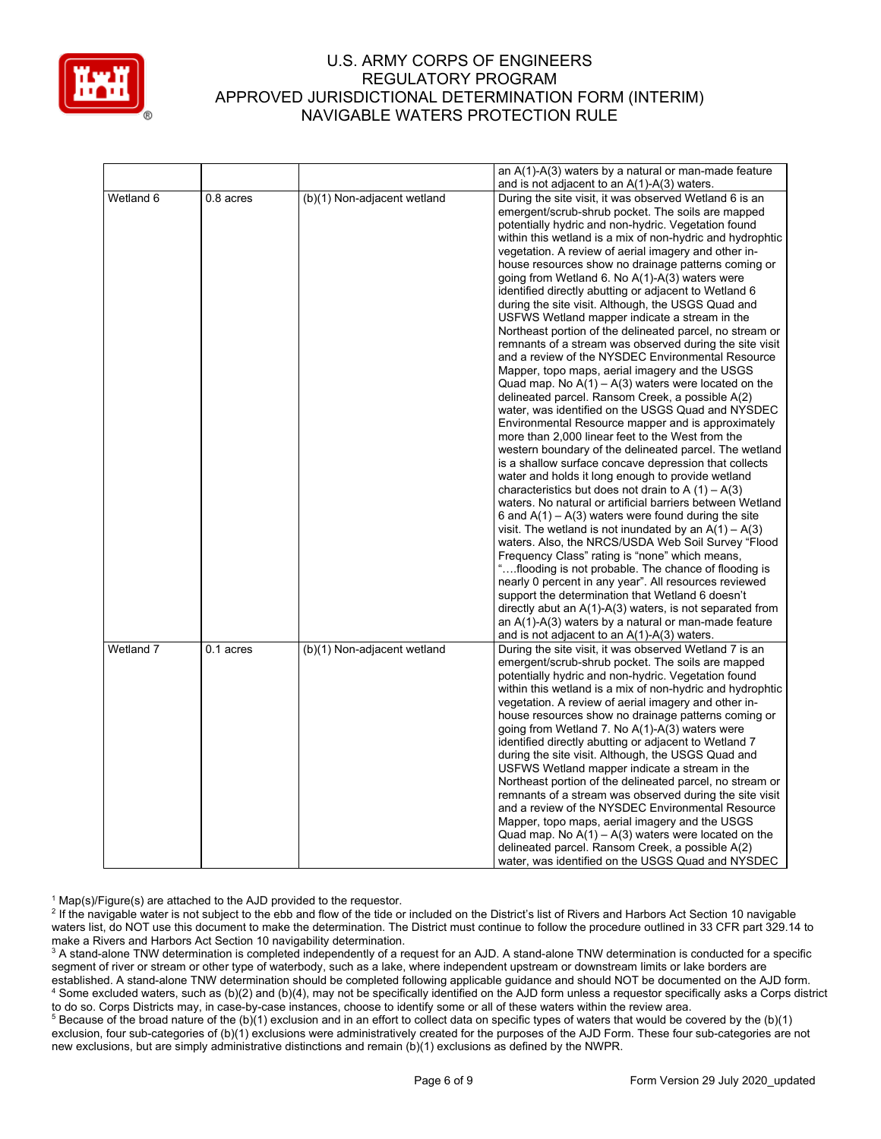

|           |           |                             | an A(1)-A(3) waters by a natural or man-made feature                                                                                                                                                                                                                                                                                                                                                                                                                                                                                                                                                                                                                                                                                                                                                                                                                                                                                                                                                                                                                                                                                                                                                                                                                                                                                                                                                                                                                                                                                                                                                                                                                                                                                                                                                                                                                                         |
|-----------|-----------|-----------------------------|----------------------------------------------------------------------------------------------------------------------------------------------------------------------------------------------------------------------------------------------------------------------------------------------------------------------------------------------------------------------------------------------------------------------------------------------------------------------------------------------------------------------------------------------------------------------------------------------------------------------------------------------------------------------------------------------------------------------------------------------------------------------------------------------------------------------------------------------------------------------------------------------------------------------------------------------------------------------------------------------------------------------------------------------------------------------------------------------------------------------------------------------------------------------------------------------------------------------------------------------------------------------------------------------------------------------------------------------------------------------------------------------------------------------------------------------------------------------------------------------------------------------------------------------------------------------------------------------------------------------------------------------------------------------------------------------------------------------------------------------------------------------------------------------------------------------------------------------------------------------------------------------|
|           |           |                             | and is not adjacent to an $A(1)-A(3)$ waters.                                                                                                                                                                                                                                                                                                                                                                                                                                                                                                                                                                                                                                                                                                                                                                                                                                                                                                                                                                                                                                                                                                                                                                                                                                                                                                                                                                                                                                                                                                                                                                                                                                                                                                                                                                                                                                                |
| Wetland 6 | 0.8 acres | (b)(1) Non-adjacent wetland | During the site visit, it was observed Wetland 6 is an<br>emergent/scrub-shrub pocket. The soils are mapped<br>potentially hydric and non-hydric. Vegetation found<br>within this wetland is a mix of non-hydric and hydrophtic<br>vegetation. A review of aerial imagery and other in-<br>house resources show no drainage patterns coming or<br>going from Wetland 6. No A(1)-A(3) waters were<br>identified directly abutting or adjacent to Wetland 6<br>during the site visit. Although, the USGS Quad and<br>USFWS Wetland mapper indicate a stream in the<br>Northeast portion of the delineated parcel, no stream or<br>remnants of a stream was observed during the site visit<br>and a review of the NYSDEC Environmental Resource<br>Mapper, topo maps, aerial imagery and the USGS<br>Quad map. No $A(1) - A(3)$ waters were located on the<br>delineated parcel. Ransom Creek, a possible A(2)<br>water, was identified on the USGS Quad and NYSDEC<br>Environmental Resource mapper and is approximately<br>more than 2,000 linear feet to the West from the<br>western boundary of the delineated parcel. The wetland<br>is a shallow surface concave depression that collects<br>water and holds it long enough to provide wetland<br>characteristics but does not drain to A $(1) - A(3)$<br>waters. No natural or artificial barriers between Wetland<br>6 and $A(1) - A(3)$ waters were found during the site<br>visit. The wetland is not inundated by an $A(1) - A(3)$<br>waters. Also, the NRCS/USDA Web Soil Survey "Flood<br>Frequency Class" rating is "none" which means,<br>"flooding is not probable. The chance of flooding is<br>nearly 0 percent in any year". All resources reviewed<br>support the determination that Wetland 6 doesn't<br>directly abut an A(1)-A(3) waters, is not separated from<br>an A(1)-A(3) waters by a natural or man-made feature |
| Wetland 7 | 0.1 acres | (b)(1) Non-adjacent wetland | and is not adjacent to an A(1)-A(3) waters.<br>During the site visit, it was observed Wetland 7 is an<br>emergent/scrub-shrub pocket. The soils are mapped<br>potentially hydric and non-hydric. Vegetation found<br>within this wetland is a mix of non-hydric and hydrophtic<br>vegetation. A review of aerial imagery and other in-<br>house resources show no drainage patterns coming or<br>going from Wetland 7. No A(1)-A(3) waters were<br>identified directly abutting or adjacent to Wetland 7<br>during the site visit. Although, the USGS Quad and<br>USFWS Wetland mapper indicate a stream in the<br>Northeast portion of the delineated parcel, no stream or                                                                                                                                                                                                                                                                                                                                                                                                                                                                                                                                                                                                                                                                                                                                                                                                                                                                                                                                                                                                                                                                                                                                                                                                                  |
|           |           |                             | remnants of a stream was observed during the site visit<br>and a review of the NYSDEC Environmental Resource<br>Mapper, topo maps, aerial imagery and the USGS<br>Quad map. No $A(1) - A(3)$ waters were located on the<br>delineated parcel. Ransom Creek, a possible A(2)<br>water, was identified on the USGS Quad and NYSDEC                                                                                                                                                                                                                                                                                                                                                                                                                                                                                                                                                                                                                                                                                                                                                                                                                                                                                                                                                                                                                                                                                                                                                                                                                                                                                                                                                                                                                                                                                                                                                             |

 $1$  Map(s)/Figure(s) are attached to the AJD provided to the requestor.

<sup>2</sup> If the navigable water is not subject to the ebb and flow of the tide or included on the District's list of Rivers and Harbors Act Section 10 navigable waters list, do NOT use this document to make the determination. The District must continue to follow the procedure outlined in 33 CFR part 329.14 to make a Rivers and Harbors Act Section 10 navigability determination.

<sup>3</sup> A stand-alone TNW determination is completed independently of a request for an AJD. A stand-alone TNW determination is conducted for a specific segment of river or stream or other type of waterbody, such as a lake, where independent upstream or downstream limits or lake borders are established. A stand-alone TNW determination should be completed following applicable guidance and should NOT be documented on the AJD form. <sup>4</sup> Some excluded waters, such as (b)(2) and (b)(4), may not be specifically identified on the AJD form unless a requestor specifically asks a Corps district to do so. Corps Districts may, in case-by-case instances, choose to identify some or all of these waters within the review area.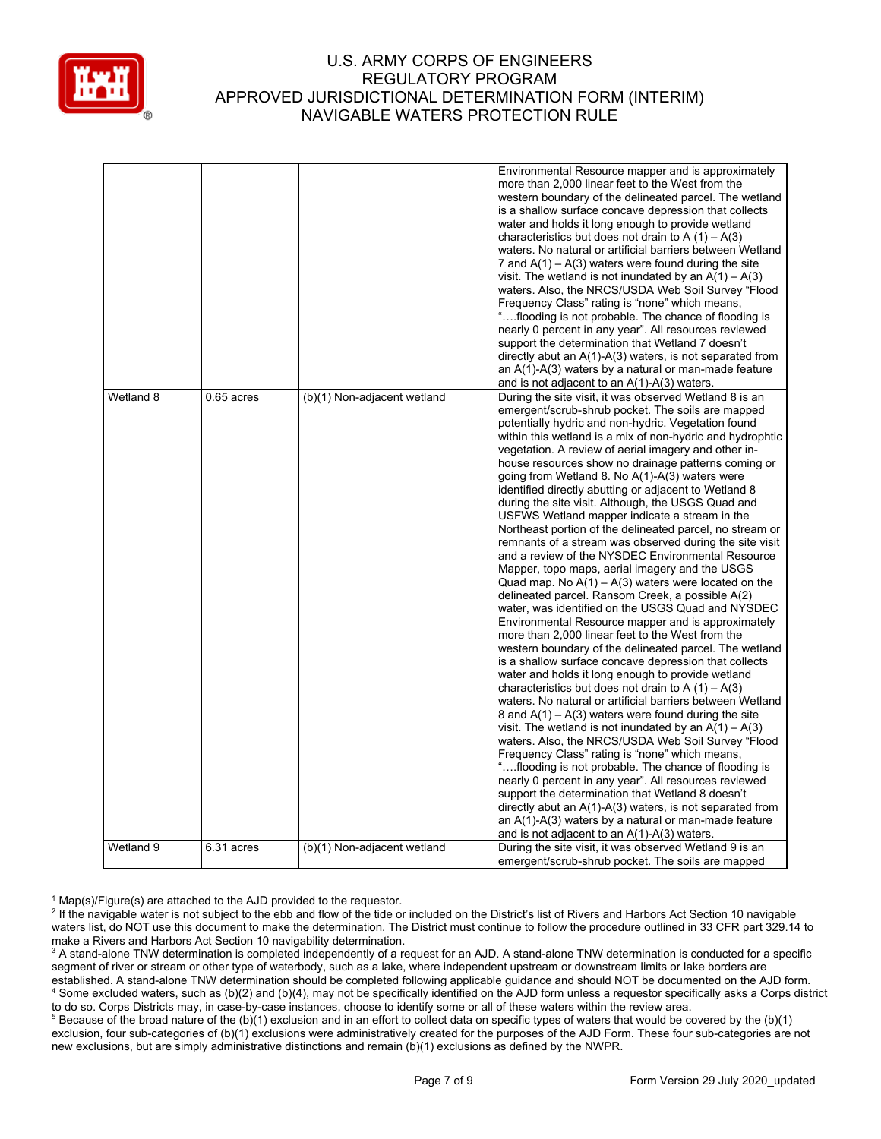

|           |              |                             | Environmental Resource mapper and is approximately         |
|-----------|--------------|-----------------------------|------------------------------------------------------------|
|           |              |                             | more than 2,000 linear feet to the West from the           |
|           |              |                             | western boundary of the delineated parcel. The wetland     |
|           |              |                             | is a shallow surface concave depression that collects      |
|           |              |                             | water and holds it long enough to provide wetland          |
|           |              |                             | characteristics but does not drain to A $(1) - A(3)$       |
|           |              |                             | waters. No natural or artificial barriers between Wetland  |
|           |              |                             | 7 and $A(1) - A(3)$ waters were found during the site      |
|           |              |                             | visit. The wetland is not inundated by an $A(1) - A(3)$    |
|           |              |                             | waters. Also, the NRCS/USDA Web Soil Survey "Flood         |
|           |              |                             | Frequency Class" rating is "none" which means,             |
|           |              |                             | "flooding is not probable. The chance of flooding is       |
|           |              |                             | nearly 0 percent in any year". All resources reviewed      |
|           |              |                             | support the determination that Wetland 7 doesn't           |
|           |              |                             | directly abut an A(1)-A(3) waters, is not separated from   |
|           |              |                             | an $A(1)$ - $A(3)$ waters by a natural or man-made feature |
|           |              |                             | and is not adjacent to an A(1)-A(3) waters.                |
| Wetland 8 | $0.65$ acres | (b)(1) Non-adjacent wetland | During the site visit, it was observed Wetland 8 is an     |
|           |              |                             | emergent/scrub-shrub pocket. The soils are mapped          |
|           |              |                             | potentially hydric and non-hydric. Vegetation found        |
|           |              |                             | within this wetland is a mix of non-hydric and hydrophtic  |
|           |              |                             | vegetation. A review of aerial imagery and other in-       |
|           |              |                             | house resources show no drainage patterns coming or        |
|           |              |                             | going from Wetland 8. No A(1)-A(3) waters were             |
|           |              |                             | identified directly abutting or adjacent to Wetland 8      |
|           |              |                             | during the site visit. Although, the USGS Quad and         |
|           |              |                             | USFWS Wetland mapper indicate a stream in the              |
|           |              |                             | Northeast portion of the delineated parcel, no stream or   |
|           |              |                             | remnants of a stream was observed during the site visit    |
|           |              |                             | and a review of the NYSDEC Environmental Resource          |
|           |              |                             | Mapper, topo maps, aerial imagery and the USGS             |
|           |              |                             | Quad map. No $A(1) - A(3)$ waters were located on the      |
|           |              |                             | delineated parcel. Ransom Creek, a possible A(2)           |
|           |              |                             | water, was identified on the USGS Quad and NYSDEC          |
|           |              |                             | Environmental Resource mapper and is approximately         |
|           |              |                             | more than 2,000 linear feet to the West from the           |
|           |              |                             | western boundary of the delineated parcel. The wetland     |
|           |              |                             | is a shallow surface concave depression that collects      |
|           |              |                             | water and holds it long enough to provide wetland          |
|           |              |                             | characteristics but does not drain to A $(1) - A(3)$       |
|           |              |                             | waters. No natural or artificial barriers between Wetland  |
|           |              |                             | 8 and $A(1) - A(3)$ waters were found during the site      |
|           |              |                             | visit. The wetland is not inundated by an $A(1) - A(3)$    |
|           |              |                             | waters. Also, the NRCS/USDA Web Soil Survey "Flood         |
|           |              |                             | Frequency Class" rating is "none" which means,             |
|           |              |                             | "flooding is not probable. The chance of flooding is       |
|           |              |                             | nearly 0 percent in any year". All resources reviewed      |
|           |              |                             | support the determination that Wetland 8 doesn't           |
|           |              |                             | directly abut an $A(1)-A(3)$ waters, is not separated from |
|           |              |                             | an $A(1)$ - $A(3)$ waters by a natural or man-made feature |
|           |              |                             | and is not adjacent to an A(1)-A(3) waters.                |
| Wetland 9 | 6.31 acres   | (b)(1) Non-adjacent wetland | During the site visit, it was observed Wetland 9 is an     |
|           |              |                             | emergent/scrub-shrub pocket. The soils are mapped          |

 $1$  Map(s)/Figure(s) are attached to the AJD provided to the requestor.

<sup>&</sup>lt;sup>2</sup> If the navigable water is not subject to the ebb and flow of the tide or included on the District's list of Rivers and Harbors Act Section 10 navigable waters list, do NOT use this document to make the determination. The District must continue to follow the procedure outlined in 33 CFR part 329.14 to make a Rivers and Harbors Act Section 10 navigability determination.

<sup>&</sup>lt;sup>3</sup> A stand-alone TNW determination is completed independently of a request for an AJD. A stand-alone TNW determination is conducted for a specific segment of river or stream or other type of waterbody, such as a lake, where independent upstream or downstream limits or lake borders are established. A stand-alone TNW determination should be completed following applicable guidance and should NOT be documented on the AJD form. <sup>4</sup> Some excluded waters, such as (b)(2) and (b)(4), may not be specifically identified on the AJD form unless a requestor specifically asks a Corps district to do so. Corps Districts may, in case-by-case instances, choose to identify some or all of these waters within the review area.

<sup>&</sup>lt;sup>5</sup> Because of the broad nature of the (b)(1) exclusion and in an effort to collect data on specific types of waters that would be covered by the (b)(1) exclusion, four sub-categories of (b)(1) exclusions were administratively created for the purposes of the AJD Form. These four sub-categories are not new exclusions, but are simply administrative distinctions and remain (b)(1) exclusions as defined by the NWPR.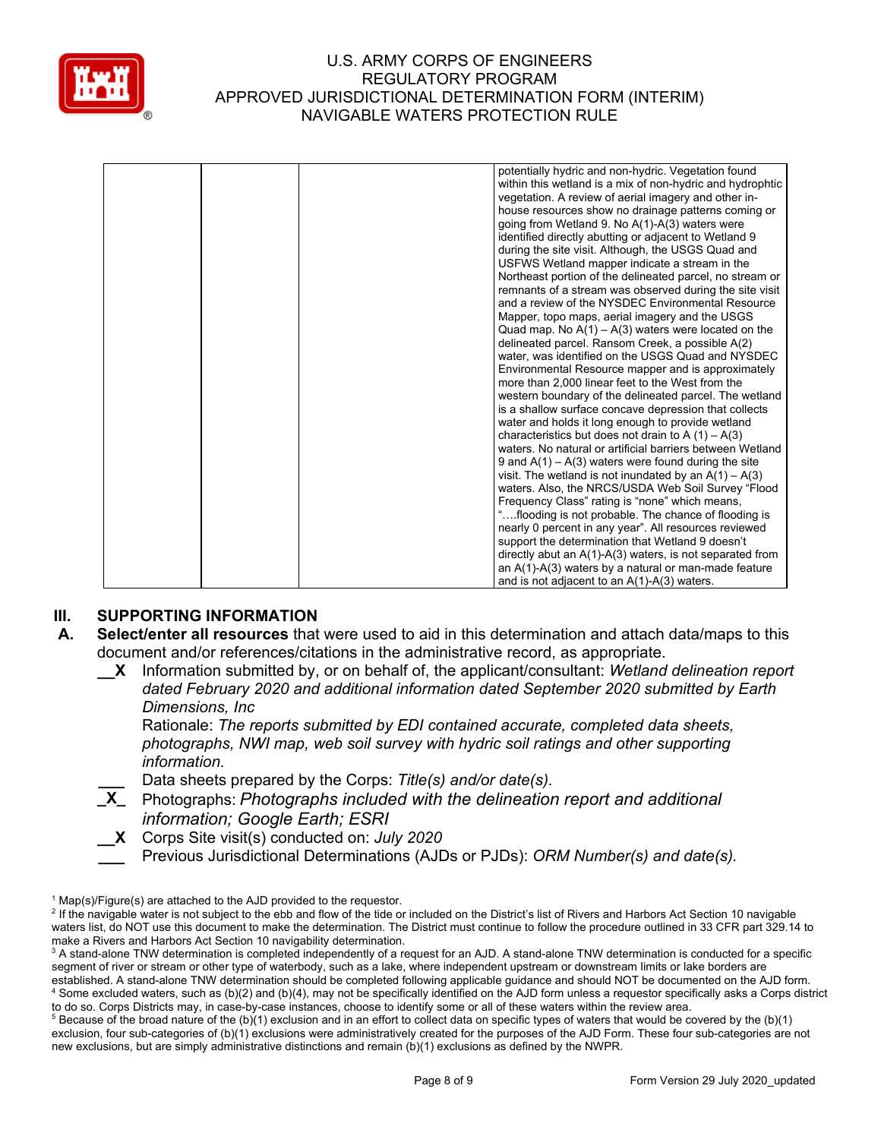

| potentially hydric and non-hydric. Vegetation found        |
|------------------------------------------------------------|
| within this wetland is a mix of non-hydric and hydrophtic  |
| vegetation. A review of aerial imagery and other in-       |
| house resources show no drainage patterns coming or        |
| going from Wetland 9. No A(1)-A(3) waters were             |
| identified directly abutting or adjacent to Wetland 9      |
| during the site visit. Although, the USGS Quad and         |
| USFWS Wetland mapper indicate a stream in the              |
| Northeast portion of the delineated parcel, no stream or   |
| remnants of a stream was observed during the site visit    |
| and a review of the NYSDEC Environmental Resource          |
| Mapper, topo maps, aerial imagery and the USGS             |
| Quad map. No $A(1) - A(3)$ waters were located on the      |
| delineated parcel. Ransom Creek, a possible A(2)           |
| water, was identified on the USGS Quad and NYSDEC          |
| Environmental Resource mapper and is approximately         |
| more than 2,000 linear feet to the West from the           |
| western boundary of the delineated parcel. The wetland     |
| is a shallow surface concave depression that collects      |
| water and holds it long enough to provide wetland          |
| characteristics but does not drain to A $(1) - A(3)$       |
| waters. No natural or artificial barriers between Wetland  |
| 9 and $A(1) - A(3)$ waters were found during the site      |
| visit. The wetland is not inundated by an $A(1) - A(3)$    |
| waters. Also, the NRCS/USDA Web Soil Survey "Flood         |
| Frequency Class" rating is "none" which means,             |
| "flooding is not probable. The chance of flooding is       |
| nearly 0 percent in any year". All resources reviewed      |
| support the determination that Wetland 9 doesn't           |
| directly abut an $A(1)-A(3)$ waters, is not separated from |
| an $A(1)$ - $A(3)$ waters by a natural or man-made feature |
| and is not adjacent to an $A(1)-A(3)$ waters.              |

# **III. SUPPORTING INFORMATION**

- **A. Select/enter all resources** that were used to aid in this determination and attach data/maps to this document and/or references/citations in the administrative record, as appropriate.
	- **\_\_X** Information submitted by, or on behalf of, the applicant/consultant: *Wetland delineation report dated February 2020 and additional information dated September 2020 submitted by Earth Dimensions, Inc*

Rationale: *The reports submitted by EDI contained accurate, completed data sheets, photographs, NWI map, web soil survey with hydric soil ratings and other supporting information.*

**\_\_\_** Data sheets prepared by the Corps: *Title(s) and/or date(s).*

- **\_X\_** Photographs: *Photographs included with the delineation report and additional information; Google Earth; ESRI*
- **\_\_X** Corps Site visit(s) conducted on: *July 2020*
	- **\_\_\_** Previous Jurisdictional Determinations (AJDs or PJDs): *ORM Number(s) and date(s).*

 $1$  Map(s)/Figure(s) are attached to the AJD provided to the requestor.

<sup>&</sup>lt;sup>2</sup> If the navigable water is not subject to the ebb and flow of the tide or included on the District's list of Rivers and Harbors Act Section 10 navigable waters list, do NOT use this document to make the determination. The District must continue to follow the procedure outlined in 33 CFR part 329.14 to make a Rivers and Harbors Act Section 10 navigability determination.

<sup>&</sup>lt;sup>3</sup> A stand-alone TNW determination is completed independently of a request for an AJD. A stand-alone TNW determination is conducted for a specific segment of river or stream or other type of waterbody, such as a lake, where independent upstream or downstream limits or lake borders are established. A stand-alone TNW determination should be completed following applicable guidance and should NOT be documented on the AJD form. <sup>4</sup> Some excluded waters, such as (b)(2) and (b)(4), may not be specifically identified on the AJD form unless a requestor specifically asks a Corps district to do so. Corps Districts may, in case-by-case instances, choose to identify some or all of these waters within the review area.

 $5$  Because of the broad nature of the (b)(1) exclusion and in an effort to collect data on specific types of waters that would be covered by the (b)(1) exclusion, four sub-categories of (b)(1) exclusions were administratively created for the purposes of the AJD Form. These four sub-categories are not new exclusions, but are simply administrative distinctions and remain (b)(1) exclusions as defined by the NWPR.